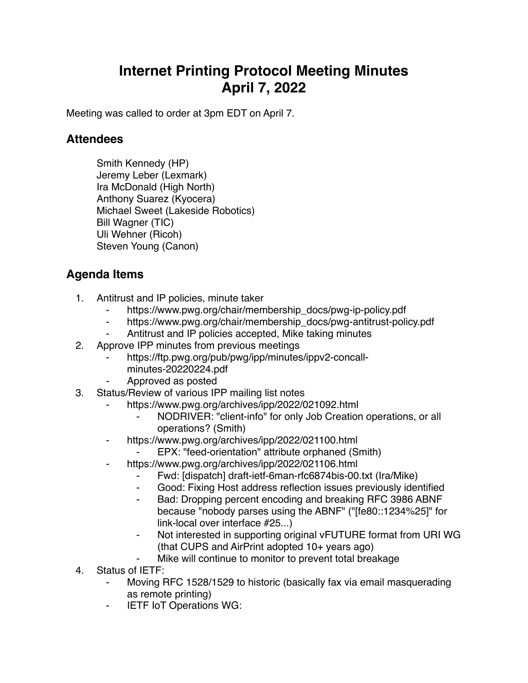## **Internet Printing Protocol Meeting Minutes April 7, 2022**

Meeting was called to order at 3pm EDT on April 7.

## **Attendees**

Smith Kennedy (HP) Jeremy Leber (Lexmark) Ira McDonald (High North) Anthony Suarez (Kyocera) Michael Sweet (Lakeside Robotics) Bill Wagner (TIC) Uli Wehner (Ricoh) Steven Young (Canon)

## **Agenda Items**

- 1. Antitrust and IP policies, minute taker
	- https://www.pwg.org/chair/membership\_docs/pwg-ip-policy.pdf
	- ⁃ https://www.pwg.org/chair/membership\_docs/pwg-antitrust-policy.pdf
	- Antitrust and IP policies accepted, Mike taking minutes
- 2. Approve IPP minutes from previous meetings
	- https://ftp.pwg.org/pub/pwg/ipp/minutes/ippv2-concall
		- minutes-20220224.pdf
	- ⁃ Approved as posted
- 3. Status/Review of various IPP mailing list notes
	- https://www.pwg.org/archives/ipp/2022/021092.html
		- NODRIVER: "client-info" for only Job Creation operations, or all operations? (Smith)
		- https://www.pwg.org/archives/ipp/2022/021100.html
			- EPX: "feed-orientation" attribute orphaned (Smith)
	- https://www.pwg.org/archives/ipp/2022/021106.html
		- ⁃ Fwd: [dispatch] draft-ietf-6man-rfc6874bis-00.txt (Ira/Mike)
		- Good: Fixing Host address reflection issues previously identified
		- Bad: Dropping percent encoding and breaking RFC 3986 ABNF because "nobody parses using the ABNF" ("[fe80::1234%25]" for link-local over interface #25...)
		- ⁃ Not interested in supporting original vFUTURE format from URI WG (that CUPS and AirPrint adopted 10+ years ago)
			- Mike will continue to monitor to prevent total breakage
- 4. Status of IETF:
	- Moving RFC 1528/1529 to historic (basically fax via email masquerading as remote printing)
	- ⁃ IETF IoT Operations WG: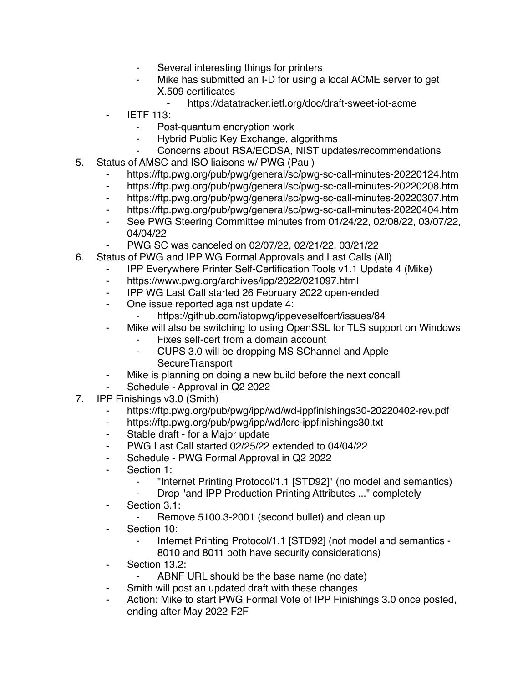- ⁃ Several interesting things for printers
- Mike has submitted an I-D for using a local ACME server to get X.509 certificates
	- ⁃ https://datatracker.ietf.org/doc/draft-sweet-iot-acme
- **IETF 113:** 
	- ⁃ Post-quantum encryption work
	- ⁃ Hybrid Public Key Exchange, algorithms
	- ⁃ Concerns about RSA/ECDSA, NIST updates/recommendations
- 5. Status of AMSC and ISO liaisons w/ PWG (Paul)
	- https://ftp.pwg.org/pub/pwg/general/sc/pwg-sc-call-minutes-20220124.htm
	- ⁃ https://ftp.pwg.org/pub/pwg/general/sc/pwg-sc-call-minutes-20220208.htm
	- ⁃ https://ftp.pwg.org/pub/pwg/general/sc/pwg-sc-call-minutes-20220307.htm
	- ⁃ https://ftp.pwg.org/pub/pwg/general/sc/pwg-sc-call-minutes-20220404.htm
	- ⁃ See PWG Steering Committee minutes from 01/24/22, 02/08/22, 03/07/22, 04/04/22
	- ⁃ PWG SC was canceled on 02/07/22, 02/21/22, 03/21/22
- 6. Status of PWG and IPP WG Formal Approvals and Last Calls (All)
	- ⁃ IPP Everywhere Printer Self-Certification Tools v1.1 Update 4 (Mike)
	- ⁃ https://www.pwg.org/archives/ipp/2022/021097.html
	- ⁃ IPP WG Last Call started 26 February 2022 open-ended
	- ⁃ One issue reported against update 4:
		- ⁃ https://github.com/istopwg/ippeveselfcert/issues/84
	- Mike will also be switching to using OpenSSL for TLS support on Windows
		- Fixes self-cert from a domain account
		- ⁃ CUPS 3.0 will be dropping MS SChannel and Apple **SecureTransport**
	- Mike is planning on doing a new build before the next concall
	- Schedule Approval in Q2 2022
- 7. IPP Finishings v3.0 (Smith)
	- https://ftp.pwg.org/pub/pwg/ipp/wd/wd-ippfinishings30-20220402-rev.pdf
	- ⁃ https://ftp.pwg.org/pub/pwg/ipp/wd/lcrc-ippfinishings30.txt
	- ⁃ Stable draft for a Major update
	- PWG Last Call started 02/25/22 extended to 04/04/22
	- ⁃ Schedule PWG Formal Approval in Q2 2022
	- ⁃ Section 1:
		- ⁃ "Internet Printing Protocol/1.1 [STD92]" (no model and semantics)
		- Drop "and IPP Production Printing Attributes ..." completely
	- ⁃ Section 3.1:
		- ⁃ Remove 5100.3-2001 (second bullet) and clean up
	- ⁃ Section 10:
		- Internet Printing Protocol/1.1 [STD92] (not model and semantics -8010 and 8011 both have security considerations)
	- Section 13.2:
		- ABNF URL should be the base name (no date)
	- ⁃ Smith will post an updated draft with these changes
	- Action: Mike to start PWG Formal Vote of IPP Finishings 3.0 once posted, ending after May 2022 F2F